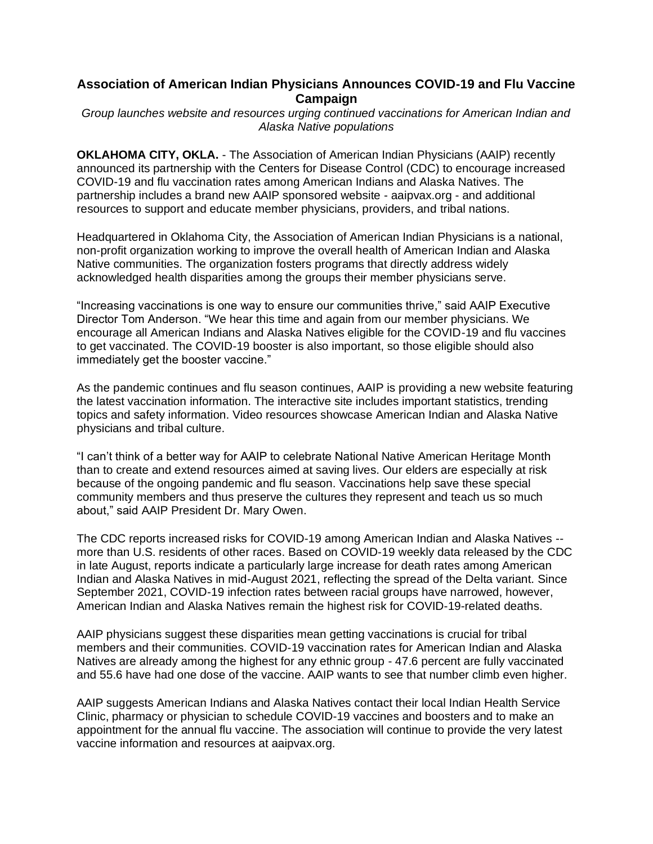## **Association of American Indian Physicians Announces COVID-19 and Flu Vaccine Campaign**

*Group launches website and resources urging continued vaccinations for American Indian and Alaska Native populations*

**OKLAHOMA CITY, OKLA.** - The Association of American Indian Physicians (AAIP) recently announced its partnership with the Centers for Disease Control (CDC) to encourage increased COVID-19 and flu vaccination rates among American Indians and Alaska Natives. The partnership includes a brand new AAIP sponsored website - aaipvax.org - and additional resources to support and educate member physicians, providers, and tribal nations.

Headquartered in Oklahoma City, the Association of American Indian Physicians is a national, non-profit organization working to improve the overall health of American Indian and Alaska Native communities. The organization fosters programs that directly address widely acknowledged health disparities among the groups their member physicians serve.

"Increasing vaccinations is one way to ensure our communities thrive," said AAIP Executive Director Tom Anderson. "We hear this time and again from our member physicians. We encourage all American Indians and Alaska Natives eligible for the COVID-19 and flu vaccines to get vaccinated. The COVID-19 booster is also important, so those eligible should also immediately get the booster vaccine."

As the pandemic continues and flu season continues, AAIP is providing a new website featuring the latest vaccination information. The interactive site includes important statistics, trending topics and safety information. Video resources showcase American Indian and Alaska Native physicians and tribal culture.

"I can't think of a better way for AAIP to celebrate National Native American Heritage Month than to create and extend resources aimed at saving lives. Our elders are especially at risk because of the ongoing pandemic and flu season. Vaccinations help save these special community members and thus preserve the cultures they represent and teach us so much about," said AAIP President Dr. Mary Owen.

The CDC reports increased risks for COVID-19 among American Indian and Alaska Natives - more than U.S. residents of other races. Based on COVID-19 weekly data released by the CDC in late August, reports indicate a particularly large increase for death rates among American Indian and Alaska Natives in mid-August 2021, reflecting the spread of the Delta variant. Since September 2021, COVID-19 infection rates between racial groups have narrowed, however, American Indian and Alaska Natives remain the highest risk for COVID-19-related deaths.

AAIP physicians suggest these disparities mean getting vaccinations is crucial for tribal members and their communities. COVID-19 vaccination rates for American Indian and Alaska Natives are already among the highest for any ethnic group - 47.6 percent are fully vaccinated and 55.6 have had one dose of the vaccine. AAIP wants to see that number climb even higher.

AAIP suggests American Indians and Alaska Natives contact their local Indian Health Service Clinic, pharmacy or physician to schedule COVID-19 vaccines and boosters and to make an appointment for the annual flu vaccine. The association will continue to provide the very latest vaccine information and resources at aaipvax.org.